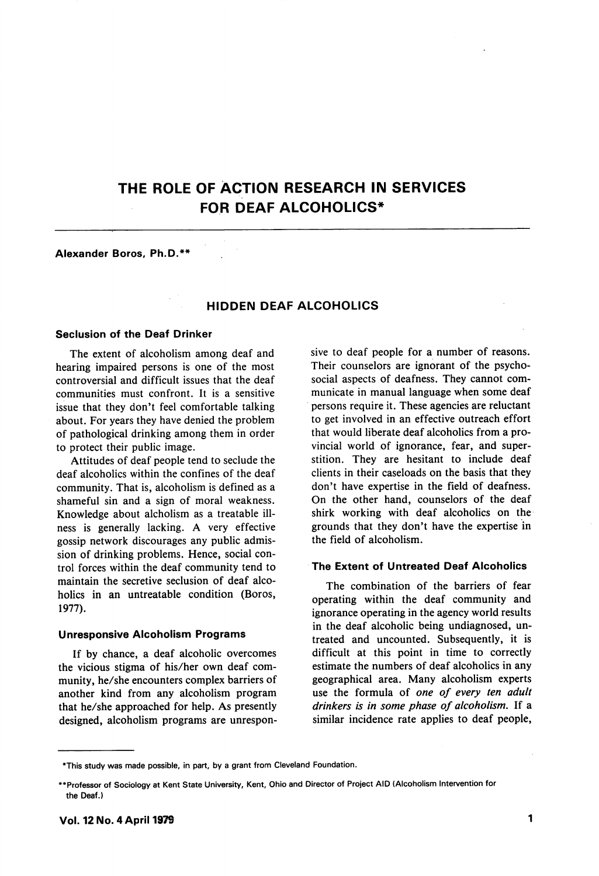# THE ROLE OF ACTION RESEARCH IN SERVICES FOR DEAF ALCOHOLICS\*

## Alexander Boros, Ph.D.\*\*

# HIDDEN DEAF ALCOHOLICS

#### Seclusion of the Deaf Drinker

The extent of alcoholism among deaf and hearing impaired persons is one of the most controversial and difficult issues that the deaf communities must confront. It is a sensitive issue that they don't feel comfortable talking about. For years they have denied the problem of pathological drinking among them in order to protect their public image.

Attitudes of deaf people tend to seclude the deaf alcoholics within the confines of the deaf community. That is, alcoholism is defined as a shameful sin and a sign of moral weakness. Knowledge about alcholism as a treatable ill ness is generally lacking. A very effective gossip network discourages any public admis sion of drinking problems. Hence, social con trol forces within the deaf community tend to maintain the secretive seclusion of deaf alco holics in an untreatable condition (Boros, 1977).

#### Unresponsive Alcoholism Programs

If by chance, a deaf alcoholic overcomes the vicious stigma of his/her own deaf com munity, he/she encounters complex barriers of another kind from any alcoholism program that he/she approached for help. As presently designed, alcoholism programs are unrespon sive to deaf people for a number of reasons. Their counselors are ignorant of the psychosocial aspects of deafness. They cannot com municate in manual language when some deaf persons require it. These agencies are reluctant to get involved in an effective outreach effort that would liberate deaf alcoholics from a pro vincial world of ignorance, fear, and super stition. They are hesitant to include deaf clients in their caseloads on the basis that they don't have expertise in the field of deafness. On the other hand, counselors of the deaf shirk working with deaf alcoholics on the grounds that they don't have the expertise in the field of alcoholism.

#### The Extent of Untreated Deaf Alcoholics

The combination of the barriers of fear operating within the deaf community and ignorance operating in the agency world results in the deaf alcoholic being undiagnosed, un treated and uncounted. Subsequently, it is difficult at this point in time to correctly estimate the numbers of deaf alcoholics in any geographical area. Many alcoholism experts use the formula of one of every ten adult drinkers is in some phase of alcoholism. If a similar incidence rate applies to deaf people.

<sup>\*</sup>This study was made possible, in part, by a grant from Cleveland Foundation.

<sup>\*\*</sup>Professor of Sociology at Kent State University, Kent, Ohio and Director of Project AID (Alcoholism Intervention for the Deaf.)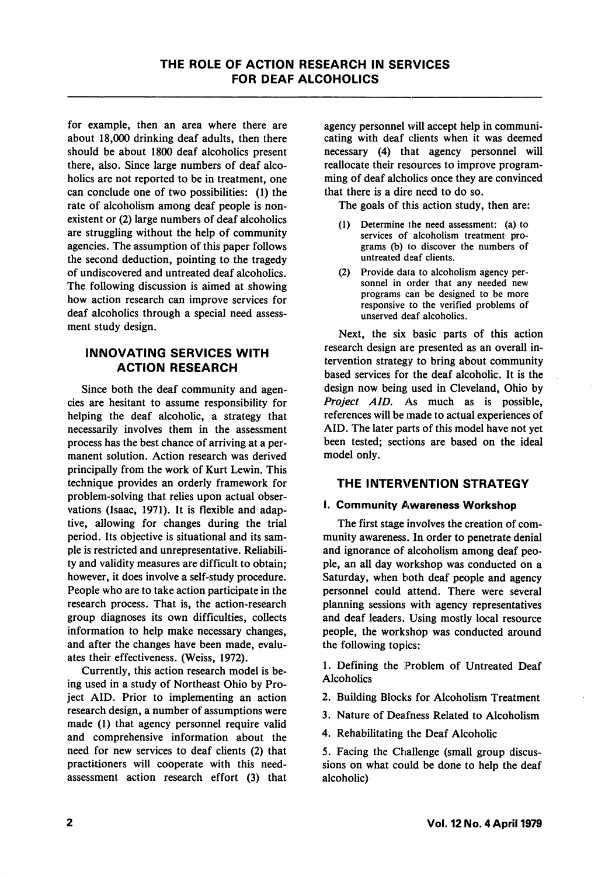for example, then an area where there are about 18,000 drinking deaf adults, then there should be about 1800 deaf alcoholics present there, also. Since large numbers of deaf alco holics are not reported to be in treatment, one can conclude one of two possibilities: (1) the rate of alcoholism among deaf people is non existent or (2) large numbers of deaf alcoholics are struggling without the help of community agencies. The assumption of this paper follows the second deduction, pointing to the tragedy of undiscovered and untreated deaf alcoholics. The following discussion is aimed at showing how action research can improve services for deaf alcoholics through a special need assess ment study design.

## INNOVATING SERVICES WITH ACTION RESEARCH

Since both the deaf community and agen cies are hesitant to assume responsibility for helping the deaf alcoholic, a strategy that necessarily involves them in the assessment process has the best chance of arriving at a per manent solution. Action research was derived principally from the work of Kurt Lewin. This technique provides an orderly framework for problem-solving that relies upon actual obser vations (Isaac, 1971). It is flexible and adap tive, allowing for changes during the trial period. Its objective is situational and its sam ple is restricted and unrepresentative. Reliabili ty and validity measures are difficult to obtain; however, it does involve a self-study procedure. People who are to take action participate in the research process. That is, the action-research group diagnoses its own difficulties, collects information to help make necessary changes, and after the changes have been made, evalu ates their effectiveness. (Weiss, 1972).

Currently, this action research model is be ing used in a study of Northeast Ohio by Pro ject AID. Prior to implementing an action research design, a number of assumptions were made (1) that agency personnel require valid and comprehensive information about the need for new services to deaf clients (2) that practitioners will cooperate with this needassessment action research effort (3) that

agency personnel will accept help in communi cating with deaf clients when it was deemed necessary (4) that agency personnel will reallocate their resources to improve program ming of deaf alcholics once they are convinced that there is a dire need to do so.

The goals of this action study, then are:

- (1) Determine the need assessment: (a) to services of alcoholism treatment pro grams (b) to discover the numbers of untreated deaf clients.
- (2) Provide data to alcoholism agency per sonnel in order that any needed new programs can be designed to be more responsive to the verified problems of unserved deaf alcoholics.

Next, the six basic parts of this action research design are presented as an overall in tervention strategy to bring about community based services for the deaf alcoholic. It is the design now being used in Cleveland, Ohio by Project AID, As much as is possible, references will be made to actual experiences of AID. The later parts of this model have not yet been tested; sections are based on the ideal model only.

## THE INTERVENTION STRATEGY

## I. Community Awareness Workshop

The first stage involves the creation of com munity awareness. In order to penetrate denial and ignorance of alcoholism among deaf peo ple, an all day workshop was conducted on a Saturday, when both deaf people and agency personnel could attend. There were several planning sessions with agency representatives and deaf leaders. Using mostly local resource people, the workshop was conducted around the following topics:

1. Defining the Problem of Untreated Deaf **Alcoholics** 

2. Building Blocks for Alcoholism Treatment

3. Nature of Deafness Related to Alcoholism

4. Rehabilitating the Deaf Alcoholic

5. Facing the Challenge (small group discus sions on what could be done to help the deaf alcoholic)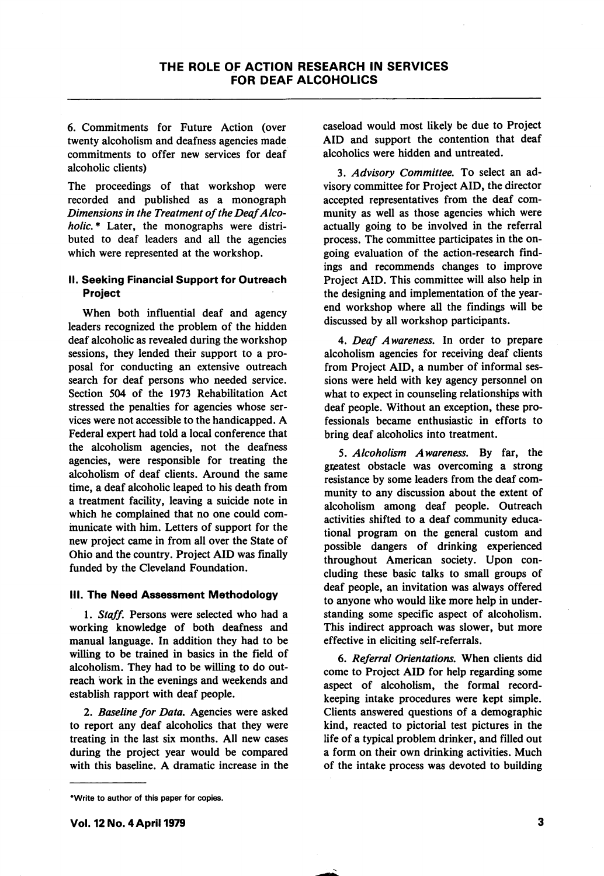6. Commitments for Future Action (over twenty alcoholism and deafness agencies made commitments to offer new services for deaf alcoholic clients)

The proceedings of that workshop were recorded and published as a monograph Dimensions in the Treatment of the Deaf Alco holic.\* Later, the monographs were distributed to deaf leaders and all the agencies which were represented at the workshop.

## II. Seeking Financial Support for Outreach Project

When both influential deaf and agency leaders recognized the problem of the hidden deaf alcoholic as revealed during the workshop sessions, they lended their support to a pro posal for conducting an extensive outreach search for deaf persons who needed service. Section 504 of the 1973 Rehabilitation Act stressed the penalties for agencies whose ser vices were not accessible to the handicapped. A Federal expert had told a local conference that the alcoholism agencies, not the deafness agencies, were responsible for treating the alcoholism of deaf clients. Around the same time, a deaf alcoholic leaped to his death from a treatment facility, leaving a suicide note in which he complained that no one could com municate with him. Letters of support for the new project came in from all over the State of Ohio and the country. Project AID was finally funded by the Cleveland Foundation.

#### III. The Need Assessment Methodology

1. Staff. Persons were selected who had a working knowledge of both deafness and manual language. In addition they had to be willing to be trained in basics in the field of alcoholism. They had to be willing to do out reach work in the evenings and weekends and establish rapport with deaf people.

2. Baseline for Data, Agencies were asked to report any deaf alcoholics that they were treating in the last six months. All new cases during the project year would be compared with this baseline. A dramatic increase in the caseload would most likely be due to Project AID and support the contention that deaf alcoholics were hidden and untreated.

3. Advisory Committee, To select an ad visory committee for Project AID, the director accepted representatives from the deaf com munity as well as those agencies which were actually going to be involved in the referral process. The committee participates in the on going evaluation of the action-research find ings and recommends changes to improve Project AID. This committee will also help in the designing and implementation of the yearend workshop where all the findings will be discussed by all workshop participants.

4. Deaf Awareness, In order to prepare alcoholism agencies for receiving deaf clients from Project AID, a number of informal ses sions were held with key agency personnel on what to expect in counseling relationships with deaf people. Without an exception, these pro fessionals became enthusiastic in efforts to bring deaf alcoholics into treatment.

5. Alcoholism Awareness, By far, the greatest obstacle was overcoming a strong resistance by some leaders from the deaf com munity to any discussion about the extent of alcoholism among deaf people. Outreach activities shifted to a deaf community educa tional program on the general custom and possible dangers of drinking experienced throughout American society. Upon con cluding these basic talks to small groups of deaf people, an invitation was always offered to anyone who would like more help in under standing some specific aspect of alcoholism. This indirect approach was slower, but more effective in eliciting self-referrals.

6. Referral Orientations, When clients did come to Project AID for help regarding some aspect of alcoholism, the formal recordkeeping intake procedures were kept simple. Clients answered questions of a demographic kind, reacted to pictorial test pictures in the life of a typical problem drinker, and filled out a form on their own drinking activities. Much of the intake process was devoted to building

3

<sup>\*</sup>Write to author of this paper for copies.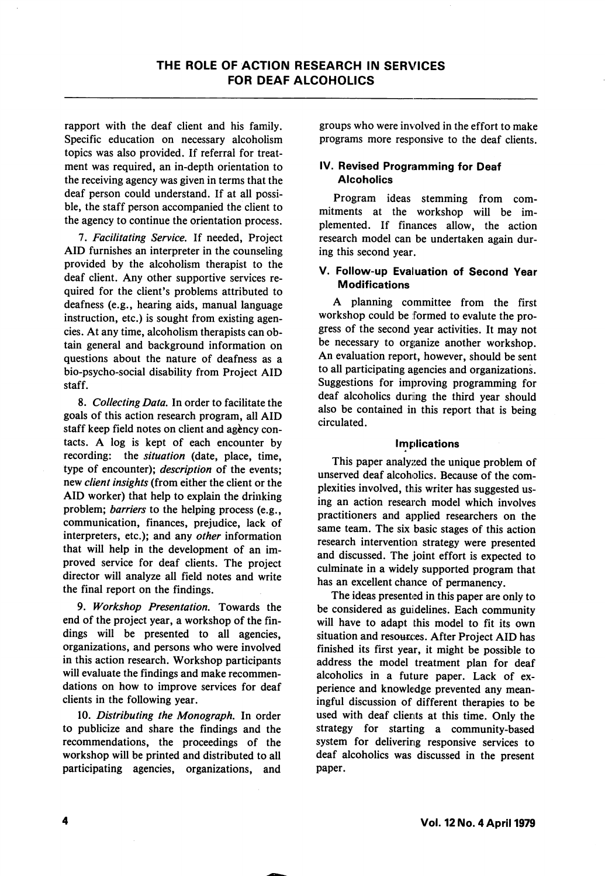rapport with the deaf client and his family. Specific education on necessary alcoholism topics was also provided. If referral for treat ment was required, an in-depth orientation to the receiving agency was given in terms that the deaf person could understand. If at all possi ble, the staff person accompanied the client to the agency to continue the orientation process.

7. Facilitating Service. If needed, Project AID furnishes an interpreter in the counseling provided by the alcoholism therapist to the deaf client. Any other supportive services re quired for the client's problems attributed to deafness (e.g., hearing aids, manual language instruction, etc.) is sought from existing agen cies. At any time, alcoholism therapists can ob tain general and background information on questions about the nature of deafness as a bio-psycho-social disability from Project AID staff.

8. Collecting Data. In order to facilitate the goals of this action research program, all AID staff keep field notes on client and agency contacts. A log is kept of each encounter by recording: the situation (date, place, time, type of encounter); description of the events; new client insights (from either the client or the AID worker) that help to explain the drinking problem; barriers to the helping process (e.g., communication, finances, prejudice, lack of interpreters, etc.); and any other information that will help in the development of an im proved service for deaf clients. The project director will analyze all field notes and write the final report on the findings.

9. Workshop Presentation. Towards the end of the project year, a workshop of the fin dings will be presented to all agencies, organizations, and persons who were involved in this action research. Workshop participants will evaluate the findings and make recommen dations on how to improve services for deaf clients in the following year.

10. Distributing the Monograph. In order to publicize and share the findings and the recommendations, the proceedings of the workshop will be printed and distributed to all participating agencies, organizations, and groups who were involved in the effort to make programs more responsive to the deaf clients.

## IV. Revised Programming for Deaf **Alcoholics**

Program ideas stemming from com mitments at the workshop will be im plemented. If finances allow, the action research model can be undertaken again dur ing this second year.

### V. Follow-up Evaluation of Second Year Modifications

A planning committee from the first workshop could be formed to evalute the pro gress of the second year activities. It may not be necessary to organize another workshop. An evaluation report, however, should be sent to all participating agencies and organizations. Suggestions for improving programming for deaf alcoholics during the third year should also be contained in this report that is being circulated.

#### Implications

This paper analyzed the unique problem of unserved deaf alcoholics. Because of the com plexities involved, this writer has suggested us ing an action research model which involves practitioners and applied researchers on the same team. The six basic stages of this action research intervention strategy were presented and discussed. The joint effort is expected to culminate in a widely supported program that has an excellent chance of permanency.

The ideas presented in this paper are only to be considered as guidelines. Each community will have to adapt this model to fit its own situation and resources. After Project AID has finished its first year, it might be possible to address the model treatment plan for deaf alcoholics in a future paper. Lack of ex perience and knowledge prevented any mean ingful discussion of different therapies to be used with deaf clients at this time. Only the strategy for starting a community-based system for delivering responsive services to deaf alcoholics was discussed in the present paper.